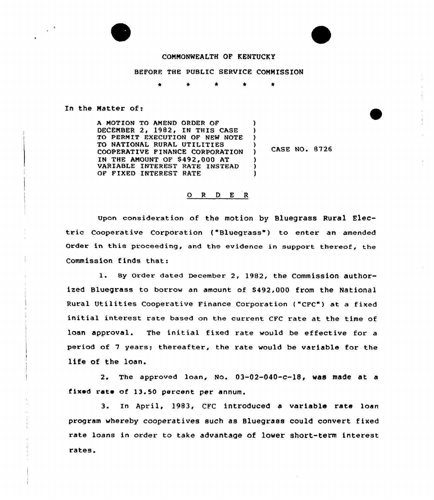

## CONNONWEALTH OF KENTUCKY

## BEFORE THE PUBLIC SERVICE CONNISSION

 $\bullet$ 

) )

> ) )

-1

) ) )

## In the Natter of:

A NOTION TO AMEND ORDER OF DECENBER 2, 1982, IN THIS CASE TO PERMIT EXECUTION OF NEW MOTE TO NATIONAL RURAL UTILITIES COOPERATIVE FINANCE CORPORATION IN THE ANOUNT OF S492,000 AT VARIABLE INTEREST RATE INSTEAD OF F IKED INTEREST RATE

CASE NO. 8726

## 0 <sup>R</sup> <sup>D</sup> E <sup>R</sup>

Upon consideration of the motion by Bluegrass Rural Electric Cooperative Corporation ("Bluegrass") to enter an amended Order in this proceeding, and the evidence in support thereof, the Commission finds that:

1. By Order dated December 2, 1982, the Commission authorized Bluegrass to borrow an amount of S492,000 from the National Rural Utilities Cooperative Finance Corporation {"CFC") at <sup>a</sup> fixed initial interest rate based on the current CFC rate at the time of loan approval. The initial fixed rate would be effective for <sup>a</sup> period of 7 years; thereafter, the rate would be variable for the life of the loan.

2. The approved loan, No. 03-02-040-c-l8, was made at a fixed rate of 13.50 percent per annum.

3. In April, 1983, CFC introduced a variable rate loan program whereby cooperatives such as Bluegrass could convert fixed rate loans in order to take advantage of lower short-term interest rates.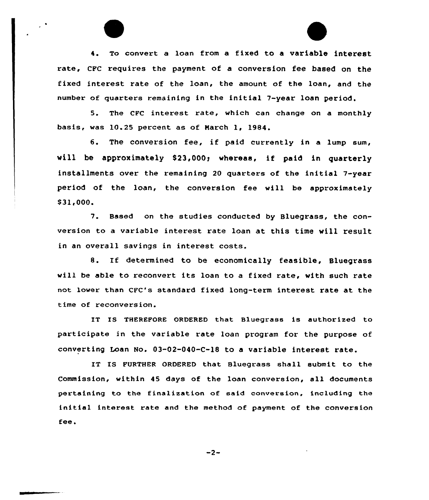4. To convert a loan from a fixed to a variable interest rate, CFC requires the payment of a conversion fee based on the fixed interest rate of the loan, the amount of the loan, and the number of quarters remaining in the initial 7-year loan period.

5. The CPC interest rate, which can change on a monthly basis, was 10.25 percent as of Narch 1, 1984.

6. The conversion fee, if paid currently in <sup>a</sup> lump sum, will be approximately \$23,000; whereas, if paid in quarterly installments over the remaining 20 quarters of the initial 7-year period of the loan, the conversion fee will be approximately 831,000.

7. Based on the studies conducted by Bluegrass, the conversion to a variable interest rate loan at this time will result in an overall savings in interest costs.

&. If determined to be economically feasible, Bluegrass will be able to reconvert its loan to <sup>a</sup> fixed rate, with such rate not lower than CFC's standard fixed long-term interest rate at the time of reconversion.

IT IS THEREFORE ORDERED that Bluegrass is authorized to participate in the variable rate loan program for the purpose of converting Loan No. 03-02-040-C-18 to a variable interest rate.

IT IS FURTHER ORDERED that Bluegrass shall submit to the Commission, within 45 days of the loan conversion, all documents pertaining to the finalization of said conversion, including the initial interest rate and the method of payment of the conversion fee.

 $-2-$